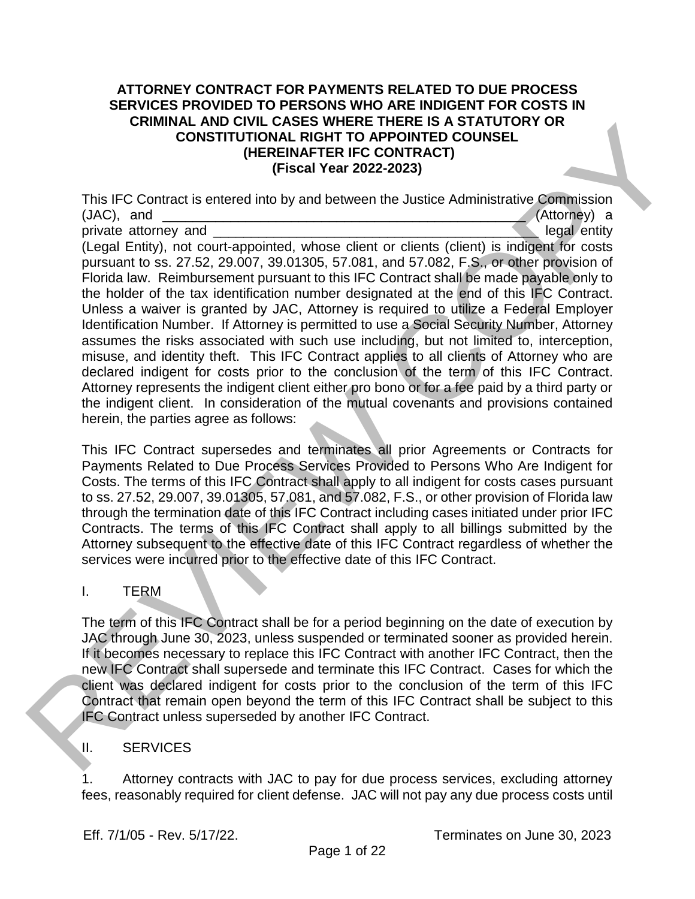#### **ATTORNEY CONTRACT FOR PAYMENTS RELATED TO DUE PROCESS SERVICES PROVIDED TO PERSONS WHO ARE INDIGENT FOR COSTS IN CRIMINAL AND CIVIL CASES WHERE THERE IS A STATUTORY OR CONSTITUTIONAL RIGHT TO APPOINTED COUNSEL (HEREINAFTER IFC CONTRACT) (Fiscal Year 2022-2023)**

This IFC Contract is entered into by and between the Justice Administrative Commission  $(\mathsf{JAC})$ , and  $(\mathsf{Attomev})$  a private attorney and **example 20** and  $\blacksquare$ (Legal Entity), not court-appointed, whose client or clients (client) is indigent for costs pursuant to ss. 27.52, 29.007, 39.01305, 57.081, and 57.082, F.S., or other provision of Florida law. Reimbursement pursuant to this IFC Contract shall be made payable only to the holder of the tax identification number designated at the end of this IFC Contract. Unless a waiver is granted by JAC, Attorney is required to utilize a Federal Employer Identification Number. If Attorney is permitted to use a Social Security Number, Attorney assumes the risks associated with such use including, but not limited to, interception, misuse, and identity theft. This IFC Contract applies to all clients of Attorney who are declared indigent for costs prior to the conclusion of the term of this IFC Contract. Attorney represents the indigent client either pro bono or for a fee paid by a third party or the indigent client. In consideration of the mutual covenants and provisions contained herein, the parties agree as follows: CRIMINAL ARCHET ONE CRISIS WITHOUT CARE IS AS IAIT UNIT (CREAT A STATISTIC CONTRACT)<br>
(ERENANT IN CAPACINTER IFC CONTRACT)<br>
This IFC Contract is entered into by and between the Justice Administrative Commission<br>
(JAC), and

This IFC Contract supersedes and terminates all prior Agreements or Contracts for Payments Related to Due Process Services Provided to Persons Who Are Indigent for Costs. The terms of this IFC Contract shall apply to all indigent for costs cases pursuant to ss. 27.52, 29.007, 39.01305, 57.081, and 57.082, F.S., or other provision of Florida law through the termination date of this IFC Contract including cases initiated under prior IFC Contracts. The terms of this IFC Contract shall apply to all billings submitted by the Attorney subsequent to the effective date of this IFC Contract regardless of whether the services were incurred prior to the effective date of this IFC Contract.

#### I. TERM

The term of this IFC Contract shall be for a period beginning on the date of execution by JAC through June 30, 2023, unless suspended or terminated sooner as provided herein. If it becomes necessary to replace this IFC Contract with another IFC Contract, then the new IFC Contract shall supersede and terminate this IFC Contract. Cases for which the client was declared indigent for costs prior to the conclusion of the term of this IFC Contract that remain open beyond the term of this IFC Contract shall be subject to this IFC Contract unless superseded by another IFC Contract.

#### II. SERVICES

1. Attorney contracts with JAC to pay for due process services, excluding attorney fees, reasonably required for client defense. JAC will not pay any due process costs until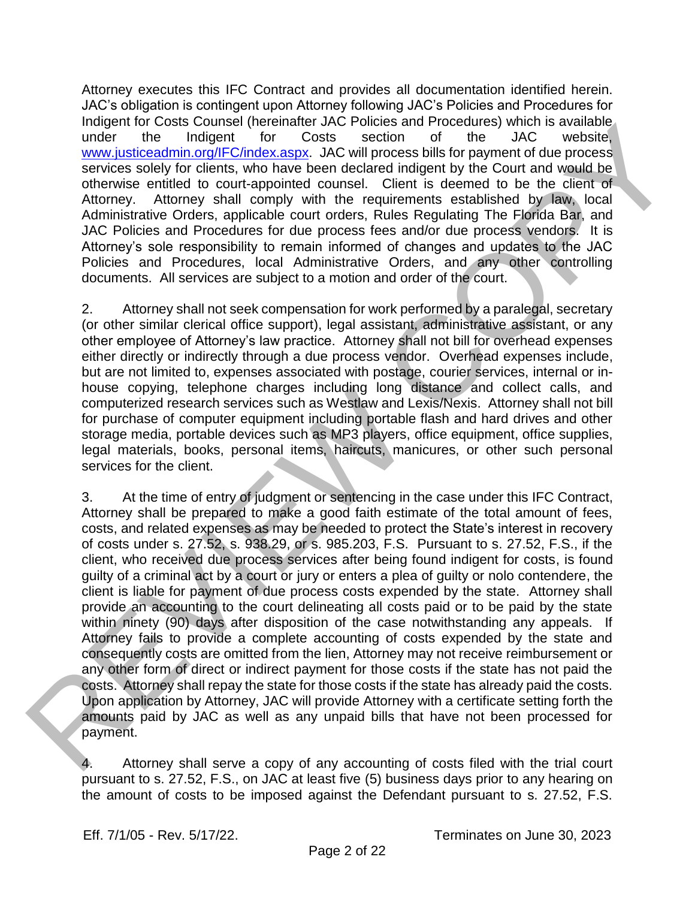Attorney executes this IFC Contract and provides all documentation identified herein. JAC's obligation is contingent upon Attorney following JAC's Policies and Procedures for Indigent for Costs Counsel (hereinafter JAC Policies and Procedures) which is available under the Indigent for Costs section of the JAC website, www.justiceadmin.org/IFC/index.aspx. JAC will process bills for payment of due process services solely for clients, who have been declared indigent by the Court and would be otherwise entitled to court-appointed counsel. Client is deemed to be the client of Attorney. Attorney shall comply with the requirements established by law, local Administrative Orders, applicable court orders, Rules Regulating The Florida Bar, and JAC Policies and Procedures for due process fees and/or due process vendors. It is Attorney's sole responsibility to remain informed of changes and updates to the JAC Policies and Procedures, local Administrative Orders, and any other controlling documents. All services are subject to a motion and order of the court.

2. Attorney shall not seek compensation for work performed by a paralegal, secretary (or other similar clerical office support), legal assistant, administrative assistant, or any other employee of Attorney's law practice. Attorney shall not bill for overhead expenses either directly or indirectly through a due process vendor. Overhead expenses include, but are not limited to, expenses associated with postage, courier services, internal or inhouse copying, telephone charges including long distance and collect calls, and computerized research services such as Westlaw and Lexis/Nexis. Attorney shall not bill for purchase of computer equipment including portable flash and hard drives and other storage media, portable devices such as MP3 players, office equipment, office supplies, legal materials, books, personal items, haircuts, manicures, or other such personal services for the client.

3. At the time of entry of judgment or sentencing in the case under this IFC Contract, Attorney shall be prepared to make a good faith estimate of the total amount of fees, costs, and related expenses as may be needed to protect the State's interest in recovery of costs under s. 27.52, s. 938.29, or s. 985.203, F.S. Pursuant to s. 27.52, F.S., if the client, who received due process services after being found indigent for costs, is found guilty of a criminal act by a court or jury or enters a plea of guilty or nolo contendere, the client is liable for payment of due process costs expended by the state. Attorney shall provide an accounting to the court delineating all costs paid or to be paid by the state within ninety (90) days after disposition of the case notwithstanding any appeals. If Attorney fails to provide a complete accounting of costs expended by the state and consequently costs are omitted from the lien, Attorney may not receive reimbursement or any other form of direct or indirect payment for those costs if the state has not paid the costs. Attorney shall repay the state for those costs if the state has already paid the costs. Upon application by Attorney, JAC will provide Attorney with a certificate setting forth the amounts paid by JAC as well as any unpaid bills that have not been processed for payment. Independent of Costable interesting the methods of the contrast proposition is sensible and the methods of the symphonic symphonic symphonic of the symphonic symphonic symphonic symphonic symphonic symphonic symphonic symp

Attorney shall serve a copy of any accounting of costs filed with the trial court pursuant to s. 27.52, F.S., on JAC at least five (5) business days prior to any hearing on the amount of costs to be imposed against the Defendant pursuant to s. 27.52, F.S.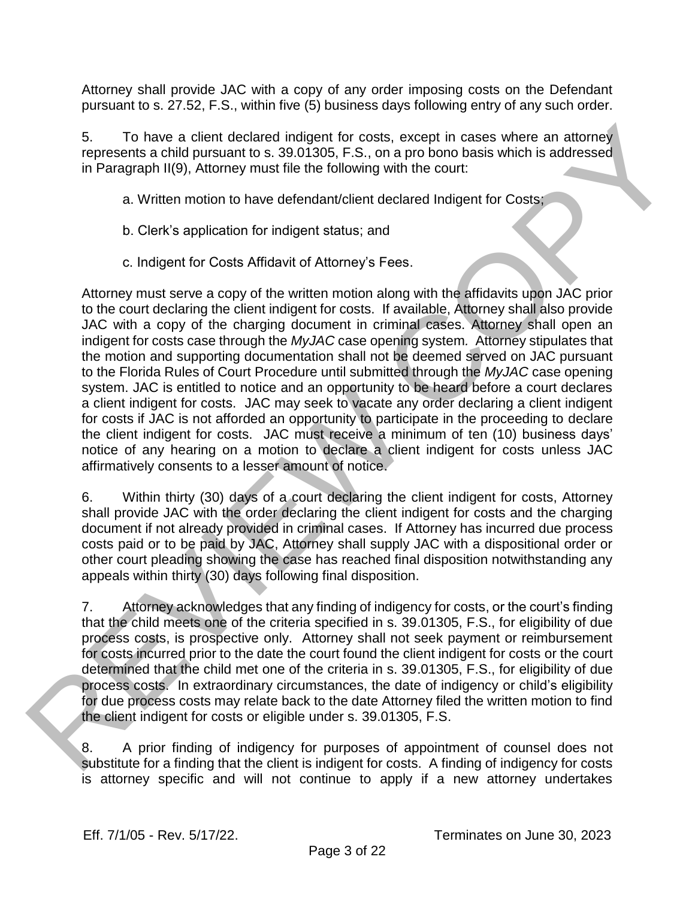Attorney shall provide JAC with a copy of any order imposing costs on the Defendant pursuant to s. 27.52, F.S., within five (5) business days following entry of any such order.

5. To have a client declared indigent for costs, except in cases where an attorney represents a child pursuant to s. 39.01305, F.S., on a pro bono basis which is addressed in Paragraph II(9), Attorney must file the following with the court:

a. Written motion to have defendant/client declared Indigent for Costs;

- b. Clerk's application for indigent status; and
- c. Indigent for Costs Affidavit of Attorney's Fees.

Attorney must serve a copy of the written motion along with the affidavits upon JAC prior to the court declaring the client indigent for costs. If available, Attorney shall also provide JAC with a copy of the charging document in criminal cases. Attorney shall open an indigent for costs case through the *MyJAC* case opening system*.* Attorney stipulates that the motion and supporting documentation shall not be deemed served on JAC pursuant to the Florida Rules of Court Procedure until submitted through the *MyJAC* case opening system. JAC is entitled to notice and an opportunity to be heard before a court declares a client indigent for costs. JAC may seek to vacate any order declaring a client indigent for costs if JAC is not afforded an opportunity to participate in the proceeding to declare the client indigent for costs. JAC must receive a minimum of ten (10) business days' notice of any hearing on a motion to declare a client indigent for costs unless JAC affirmatively consents to a lesser amount of notice. 5. To have a client declared indigent for costs, except in cases where an attemeter<br>represents a child pursuant to s. 380 to 1300. F.S., on a pro-bond basis which is addessed<br>in Paragraph II(9), Attorney must file the foll

6. Within thirty (30) days of a court declaring the client indigent for costs, Attorney shall provide JAC with the order declaring the client indigent for costs and the charging document if not already provided in criminal cases. If Attorney has incurred due process costs paid or to be paid by JAC, Attorney shall supply JAC with a dispositional order or other court pleading showing the case has reached final disposition notwithstanding any appeals within thirty (30) days following final disposition.

7. Attorney acknowledges that any finding of indigency for costs, or the court's finding that the child meets one of the criteria specified in s. 39.01305, F.S., for eligibility of due process costs, is prospective only. Attorney shall not seek payment or reimbursement for costs incurred prior to the date the court found the client indigent for costs or the court determined that the child met one of the criteria in s. 39.01305, F.S., for eligibility of due process costs. In extraordinary circumstances, the date of indigency or child's eligibility for due process costs may relate back to the date Attorney filed the written motion to find the client indigent for costs or eligible under s. 39.01305, F.S.

8. A prior finding of indigency for purposes of appointment of counsel does not substitute for a finding that the client is indigent for costs. A finding of indigency for costs is attorney specific and will not continue to apply if a new attorney undertakes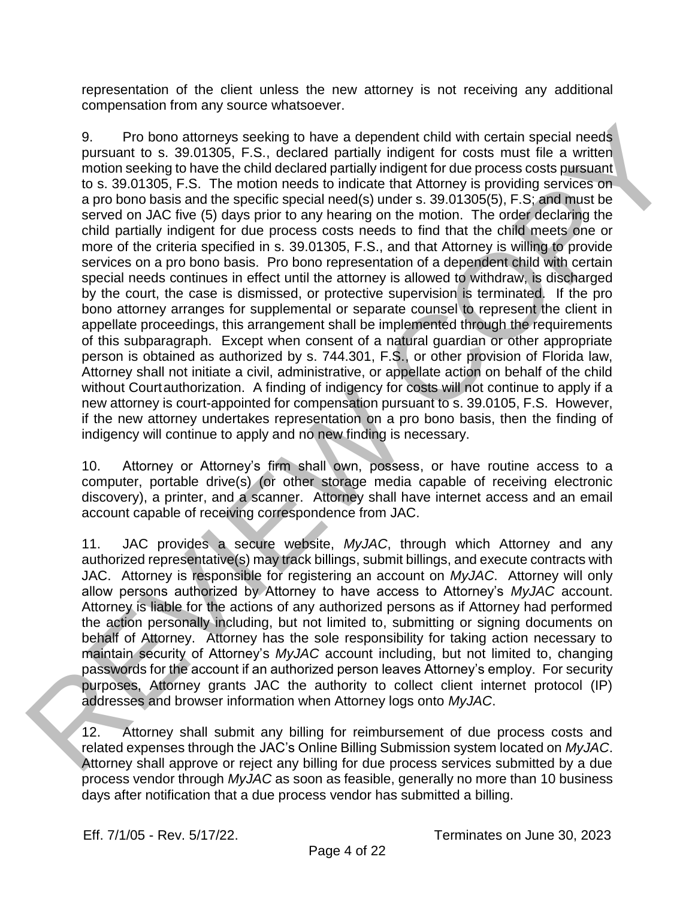representation of the client unless the new attorney is not receiving any additional compensation from any source whatsoever.

9. Pro bono attorneys seeking to have a dependent child with certain special needs pursuant to s. 39.01305, F.S., declared partially indigent for costs must file a written motion seeking to have the child declared partially indigent for due process costs pursuant to s. 39.01305, F.S. The motion needs to indicate that Attorney is providing services on a pro bono basis and the specific special need(s) under s. 39.01305(5), F.S; and must be served on JAC five (5) days prior to any hearing on the motion. The order declaring the child partially indigent for due process costs needs to find that the child meets one or more of the criteria specified in s. 39.01305, F.S., and that Attorney is willing to provide services on a pro bono basis. Pro bono representation of a dependent child with certain special needs continues in effect until the attorney is allowed to withdraw, is discharged by the court, the case is dismissed, or protective supervision is terminated. If the pro bono attorney arranges for supplemental or separate counsel to represent the client in appellate proceedings, this arrangement shall be implemented through the requirements of this subparagraph. Except when consent of a natural guardian or other appropriate person is obtained as authorized by s. 744.301, F.S., or other provision of Florida law, Attorney shall not initiate a civil, administrative, or appellate action on behalf of the child without Courtauthorization. A finding of indigency for costs will not continue to apply if a new attorney is court-appointed for compensation pursuant to s. 39.0105, F.S. However, if the new attorney undertakes representation on a pro bono basis, then the finding of indigency will continue to apply and no new finding is necessary. Pro bono attornoys nocking to have a dependent child with cartain special noeds<br>predictions and the solution of product of the solution of the solution<br>of the solution of the solution of the solution of the solution of the

10. Attorney or Attorney's firm shall own, possess, or have routine access to a computer, portable drive(s) (or other storage media capable of receiving electronic discovery), a printer, and a scanner. Attorney shall have internet access and an email account capable of receiving correspondence from JAC.

11. JAC provides a secure website, *MyJAC*, through which Attorney and any authorized representative(s) may track billings, submit billings, and execute contracts with JAC. Attorney is responsible for registering an account on *MyJAC*. Attorney will only allow persons authorized by Attorney to have access to Attorney's *MyJAC* account. Attorney is liable for the actions of any authorized persons as if Attorney had performed the action personally including, but not limited to, submitting or signing documents on behalf of Attorney. Attorney has the sole responsibility for taking action necessary to maintain security of Attorney's *MyJAC* account including, but not limited to, changing passwords for the account if an authorized person leaves Attorney's employ. For security purposes, Attorney grants JAC the authority to collect client internet protocol (IP) addresses and browser information when Attorney logs onto *MyJAC*.

12. Attorney shall submit any billing for reimbursement of due process costs and related expenses through the JAC's Online Billing Submission system located on *MyJAC*. Attorney shall approve or reject any billing for due process services submitted by a due process vendor through *MyJAC* as soon as feasible, generally no more than 10 business days after notification that a due process vendor has submitted a billing.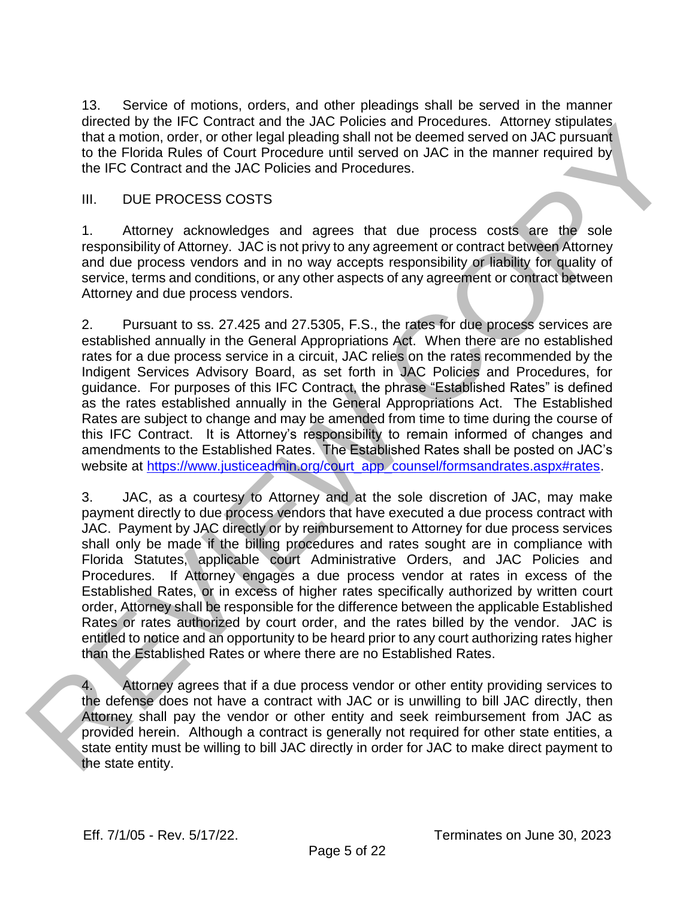13. Service of motions, orders, and other pleadings shall be served in the manner directed by the IFC Contract and the JAC Policies and Procedures. Attorney stipulates that a motion, order, or other legal pleading shall not be deemed served on JAC pursuant to the Florida Rules of Court Procedure until served on JAC in the manner required by the IFC Contract and the JAC Policies and Procedures.

#### III. DUE PROCESS COSTS

1. Attorney acknowledges and agrees that due process costs are the sole responsibility of Attorney. JAC is not privy to any agreement or contract between Attorney and due process vendors and in no way accepts responsibility or liability for quality of service, terms and conditions, or any other aspects of any agreement or contract between Attorney and due process vendors.

2. Pursuant to ss. 27.425 and 27.5305, F.S., the rates for due process services are established annually in the General Appropriations Act. When there are no established rates for a due process service in a circuit, JAC relies on the rates recommended by the Indigent Services Advisory Board, as set forth in JAC Policies and Procedures, for guidance. For purposes of this IFC Contract, the phrase "Established Rates" is defined as the rates established annually in the General Appropriations Act. The Established Rates are subject to change and may be amended from time to time during the course of this IFC Contract. It is Attorney's responsibility to remain informed of changes and amendments to the Established Rates. The Established Rates shall be posted on JAC's website at https://www.justiceadmin.org/court\_app\_counsel/formsandrates.aspx#rates.

3. JAC, as a courtesy to Attorney and at the sole discretion of JAC, may make payment directly to due process vendors that have executed a due process contract with JAC. Payment by JAC directly or by reimbursement to Attorney for due process services shall only be made if the billing procedures and rates sought are in compliance with Florida Statutes, applicable court Administrative Orders, and JAC Policies and Procedures. If Attorney engages a due process vendor at rates in excess of the Established Rates, or in excess of higher rates specifically authorized by written court order, Attorney shall be responsible for the difference between the applicable Established Rates or rates authorized by court order, and the rates billed by the vendor. JAC is entitled to notice and an opportunity to be heard prior to any court authorizing rates higher than the Established Rates or where there are no Established Rates. orectes by the 14. Contract and the diversion and the diversion of the contract and the diversion of the find Rivia Relation of the Michael Rivia America Counter the FC Contract and the MC Politics with the manner required

4. Attorney agrees that if a due process vendor or other entity providing services to the defense does not have a contract with JAC or is unwilling to bill JAC directly, then Attorney shall pay the vendor or other entity and seek reimbursement from JAC as provided herein. Although a contract is generally not required for other state entities, a state entity must be willing to bill JAC directly in order for JAC to make direct payment to the state entity.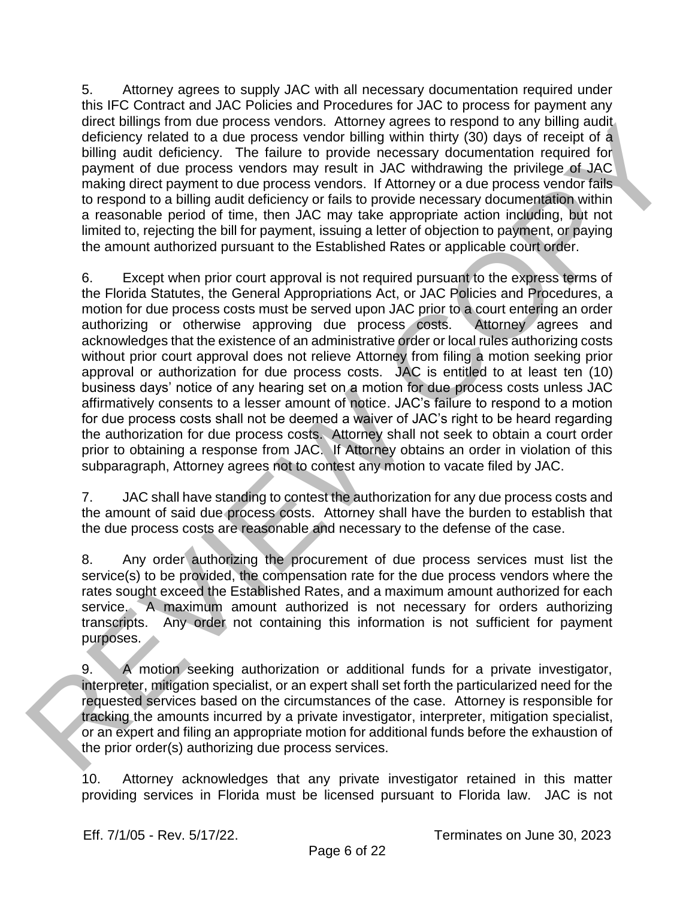5. Attorney agrees to supply JAC with all necessary documentation required under this IFC Contract and JAC Policies and Procedures for JAC to process for payment any direct billings from due process vendors. Attorney agrees to respond to any billing audit deficiency related to a due process vendor billing within thirty (30) days of receipt of a billing audit deficiency. The failure to provide necessary documentation required for payment of due process vendors may result in JAC withdrawing the privilege of JAC making direct payment to due process vendors. If Attorney or a due process vendor fails to respond to a billing audit deficiency or fails to provide necessary documentation within a reasonable period of time, then JAC may take appropriate action including, but not limited to, rejecting the bill for payment, issuing a letter of objection to payment, or paying the amount authorized pursuant to the Established Rates or applicable court order.

6. Except when prior court approval is not required pursuant to the express terms of the Florida Statutes, the General Appropriations Act, or JAC Policies and Procedures, a motion for due process costs must be served upon JAC prior to a court entering an order authorizing or otherwise approving due process costs. Attorney agrees and acknowledges that the existence of an administrative order or local rules authorizing costs without prior court approval does not relieve Attorney from filing a motion seeking prior approval or authorization for due process costs. JAC is entitled to at least ten (10) business days' notice of any hearing set on a motion for due process costs unless JAC affirmatively consents to a lesser amount of notice. JAC's failure to respond to a motion for due process costs shall not be deemed a waiver of JAC's right to be heard regarding the authorization for due process costs. Attorney shall not seek to obtain a court order prior to obtaining a response from JAC. If Attorney obtains an order in violation of this subparagraph, Attorney agrees not to contest any motion to vacate filed by JAC. drete change from due process overlook. Antony agrees to especial to any built and<br>distancy radiated to a due process vendor builting within thing (30) days of receipt of a<br>bulling with the failure of provide a method in c

7. JAC shall have standing to contest the authorization for any due process costs and the amount of said due process costs. Attorney shall have the burden to establish that the due process costs are reasonable and necessary to the defense of the case.

8. Any order authorizing the procurement of due process services must list the service(s) to be provided, the compensation rate for the due process vendors where the rates sought exceed the Established Rates, and a maximum amount authorized for each service. A maximum amount authorized is not necessary for orders authorizing transcripts. Any order not containing this information is not sufficient for payment purposes.

9. A motion seeking authorization or additional funds for a private investigator, interpreter, mitigation specialist, or an expert shall set forth the particularized need for the requested services based on the circumstances of the case. Attorney is responsible for tracking the amounts incurred by a private investigator, interpreter, mitigation specialist, or an expert and filing an appropriate motion for additional funds before the exhaustion of the prior order(s) authorizing due process services.

10. Attorney acknowledges that any private investigator retained in this matter providing services in Florida must be licensed pursuant to Florida law. JAC is not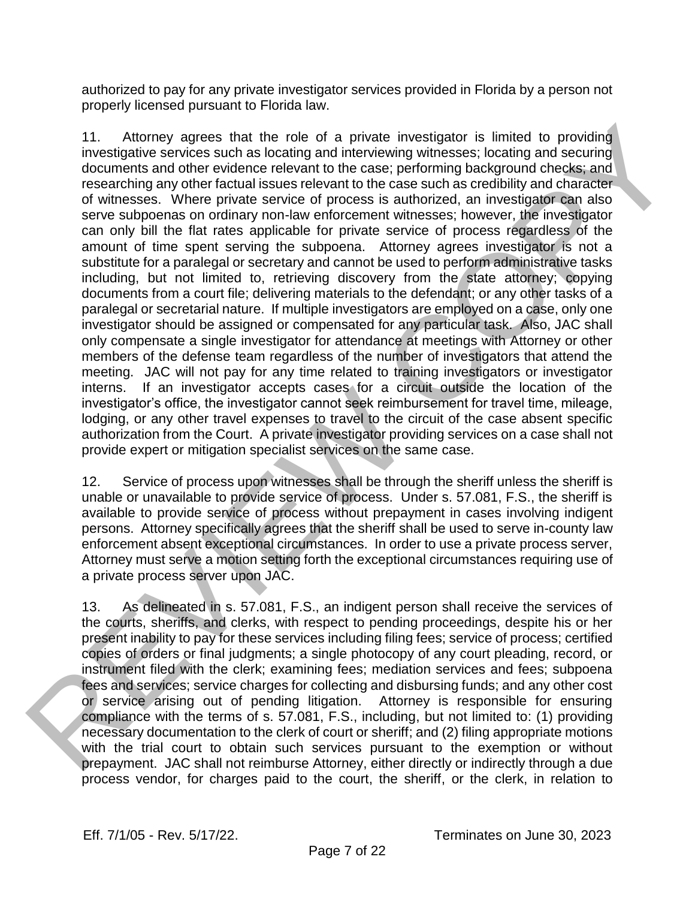authorized to pay for any private investigator services provided in Florida by a person not properly licensed pursuant to Florida law.

11. Attorney agrees that the role of a private investigator is limited to providing investigative services such as locating and interviewing witnesses; locating and securing documents and other evidence relevant to the case; performing background checks; and researching any other factual issues relevant to the case such as credibility and character of witnesses. Where private service of process is authorized, an investigator can also serve subpoenas on ordinary non-law enforcement witnesses; however, the investigator can only bill the flat rates applicable for private service of process regardless of the amount of time spent serving the subpoena. Attorney agrees investigator is not a substitute for a paralegal or secretary and cannot be used to perform administrative tasks including, but not limited to, retrieving discovery from the state attorney; copying documents from a court file; delivering materials to the defendant; or any other tasks of a paralegal or secretarial nature. If multiple investigators are employed on a case, only one investigator should be assigned or compensated for any particular task. Also, JAC shall only compensate a single investigator for attendance at meetings with Attorney or other members of the defense team regardless of the number of investigators that attend the meeting. JAC will not pay for any time related to training investigators or investigator interns. If an investigator accepts cases for a circuit outside the location of the investigator's office, the investigator cannot seek reimbursement for travel time, mileage, lodging, or any other travel expenses to travel to the circuit of the case absent specific authorization from the Court. A private investigator providing services on a case shall not provide expert or mitigation specialist services on the same case. 11. Altomay agross that the role of a photo invostigator is limited to providing<br>incomignity acrossing that the role of a photosing incomignities acrossing the measurement of experimental conserverse in the measurement of

12. Service of process upon witnesses shall be through the sheriff unless the sheriff is unable or unavailable to provide service of process. Under s. 57.081, F.S., the sheriff is available to provide service of process without prepayment in cases involving indigent persons. Attorney specifically agrees that the sheriff shall be used to serve in-county law enforcement absent exceptional circumstances. In order to use a private process server, Attorney must serve a motion setting forth the exceptional circumstances requiring use of a private process server upon JAC.

13. As delineated in s. 57.081, F.S., an indigent person shall receive the services of the courts, sheriffs, and clerks, with respect to pending proceedings, despite his or her present inability to pay for these services including filing fees; service of process; certified copies of orders or final judgments; a single photocopy of any court pleading, record, or instrument filed with the clerk; examining fees; mediation services and fees; subpoena fees and services; service charges for collecting and disbursing funds; and any other cost or service arising out of pending litigation. Attorney is responsible for ensuring compliance with the terms of s. 57.081, F.S., including, but not limited to: (1) providing necessary documentation to the clerk of court or sheriff; and (2) filing appropriate motions with the trial court to obtain such services pursuant to the exemption or without prepayment. JAC shall not reimburse Attorney, either directly or indirectly through a due process vendor, for charges paid to the court, the sheriff, or the clerk, in relation to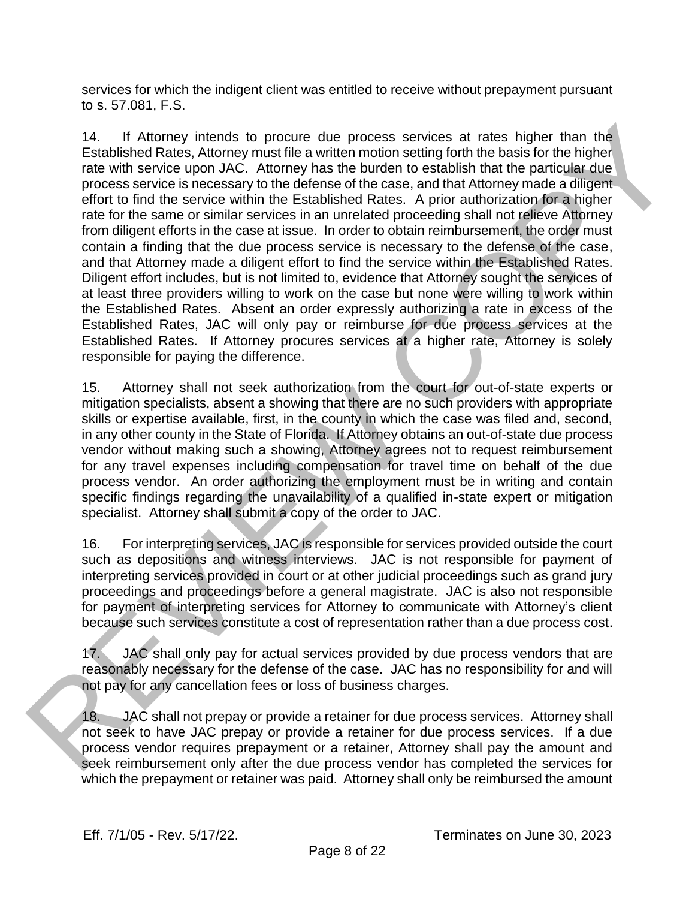services for which the indigent client was entitled to receive without prepayment pursuant to s. 57.081, F.S.

14. If Attorney intends to procure due process services at rates higher than the Established Rates, Attorney must file a written motion setting forth the basis for the higher rate with service upon JAC. Attorney has the burden to establish that the particular due process service is necessary to the defense of the case, and that Attorney made a diligent effort to find the service within the Established Rates. A prior authorization for a higher rate for the same or similar services in an unrelated proceeding shall not relieve Attorney from diligent efforts in the case at issue. In order to obtain reimbursement, the order must contain a finding that the due process service is necessary to the defense of the case, and that Attorney made a diligent effort to find the service within the Established Rates. Diligent effort includes, but is not limited to, evidence that Attorney sought the services of at least three providers willing to work on the case but none were willing to work within the Established Rates. Absent an order expressly authorizing a rate in excess of the Established Rates, JAC will only pay or reimburse for due process services at the Established Rates. If Attorney procures services at a higher rate, Attorney is solely responsible for paying the difference. 14. If Altomay intends to procure oter process services at rates higher than the<br>Eighinite Relation Content (wall the averticle model with the anisotrophic process service is necessary to the defense of the case, and that

15. Attorney shall not seek authorization from the court for out-of-state experts or mitigation specialists, absent a showing that there are no such providers with appropriate skills or expertise available, first, in the county in which the case was filed and, second, in any other county in the State of Florida. If Attorney obtains an out-of-state due process vendor without making such a showing, Attorney agrees not to request reimbursement for any travel expenses including compensation for travel time on behalf of the due process vendor. An order authorizing the employment must be in writing and contain specific findings regarding the unavailability of a qualified in-state expert or mitigation specialist. Attorney shall submit a copy of the order to JAC.

16. For interpreting services, JAC is responsible for services provided outside the court such as depositions and witness interviews. JAC is not responsible for payment of interpreting services provided in court or at other judicial proceedings such as grand jury proceedings and proceedings before a general magistrate. JAC is also not responsible for payment of interpreting services for Attorney to communicate with Attorney's client because such services constitute a cost of representation rather than a due process cost.

17. JAC shall only pay for actual services provided by due process vendors that are reasonably necessary for the defense of the case. JAC has no responsibility for and will not pay for any cancellation fees or loss of business charges.

18. JAC shall not prepay or provide a retainer for due process services. Attorney shall not seek to have JAC prepay or provide a retainer for due process services. If a due process vendor requires prepayment or a retainer, Attorney shall pay the amount and seek reimbursement only after the due process vendor has completed the services for which the prepayment or retainer was paid. Attorney shall only be reimbursed the amount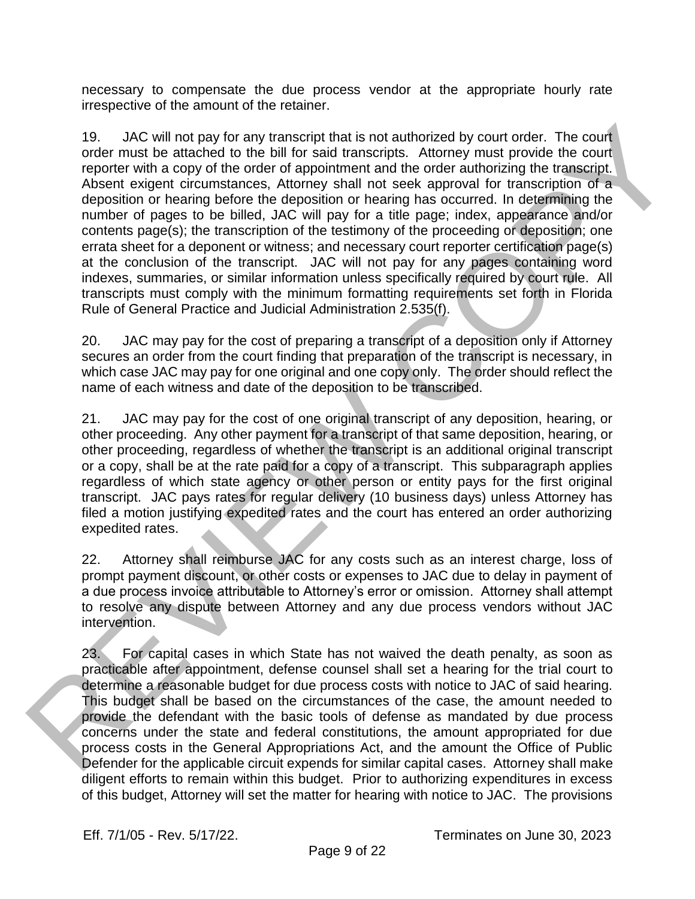necessary to compensate the due process vendor at the appropriate hourly rate irrespective of the amount of the retainer.

19. JAC will not pay for any transcript that is not authorized by court order. The court order must be attached to the bill for said transcripts. Attorney must provide the court reporter with a copy of the order of appointment and the order authorizing the transcript. Absent exigent circumstances, Attorney shall not seek approval for transcription of a deposition or hearing before the deposition or hearing has occurred. In determining the number of pages to be billed, JAC will pay for a title page; index, appearance and/or contents page(s); the transcription of the testimony of the proceeding or deposition; one errata sheet for a deponent or witness; and necessary court reporter certification page(s) at the conclusion of the transcript. JAC will not pay for any pages containing word indexes, summaries, or similar information unless specifically required by court rule. All transcripts must comply with the minimum formatting requirements set forth in Florida Rule of General Practice and Judicial Administration 2.535(f). 19. JAC will not pay for any transcript that is not subhorized by court order. The court<br>order-threat be attended to be the lift is all transcript will move from the properties<br>of the control or the control or the control

20. JAC may pay for the cost of preparing a transcript of a deposition only if Attorney secures an order from the court finding that preparation of the transcript is necessary, in which case JAC may pay for one original and one copy only. The order should reflect the name of each witness and date of the deposition to be transcribed.

21. JAC may pay for the cost of one original transcript of any deposition, hearing, or other proceeding. Any other payment for a transcript of that same deposition, hearing, or other proceeding, regardless of whether the transcript is an additional original transcript or a copy, shall be at the rate paid for a copy of a transcript. This subparagraph applies regardless of which state agency or other person or entity pays for the first original transcript. JAC pays rates for regular delivery (10 business days) unless Attorney has filed a motion justifying expedited rates and the court has entered an order authorizing expedited rates.

22. Attorney shall reimburse JAC for any costs such as an interest charge, loss of prompt payment discount, or other costs or expenses to JAC due to delay in payment of a due process invoice attributable to Attorney's error or omission. Attorney shall attempt to resolve any dispute between Attorney and any due process vendors without JAC intervention.

23. For capital cases in which State has not waived the death penalty, as soon as practicable after appointment, defense counsel shall set a hearing for the trial court to determine a reasonable budget for due process costs with notice to JAC of said hearing. This budget shall be based on the circumstances of the case, the amount needed to provide the defendant with the basic tools of defense as mandated by due process concerns under the state and federal constitutions, the amount appropriated for due process costs in the General Appropriations Act, and the amount the Office of Public Defender for the applicable circuit expends for similar capital cases. Attorney shall make diligent efforts to remain within this budget. Prior to authorizing expenditures in excess of this budget, Attorney will set the matter for hearing with notice to JAC. The provisions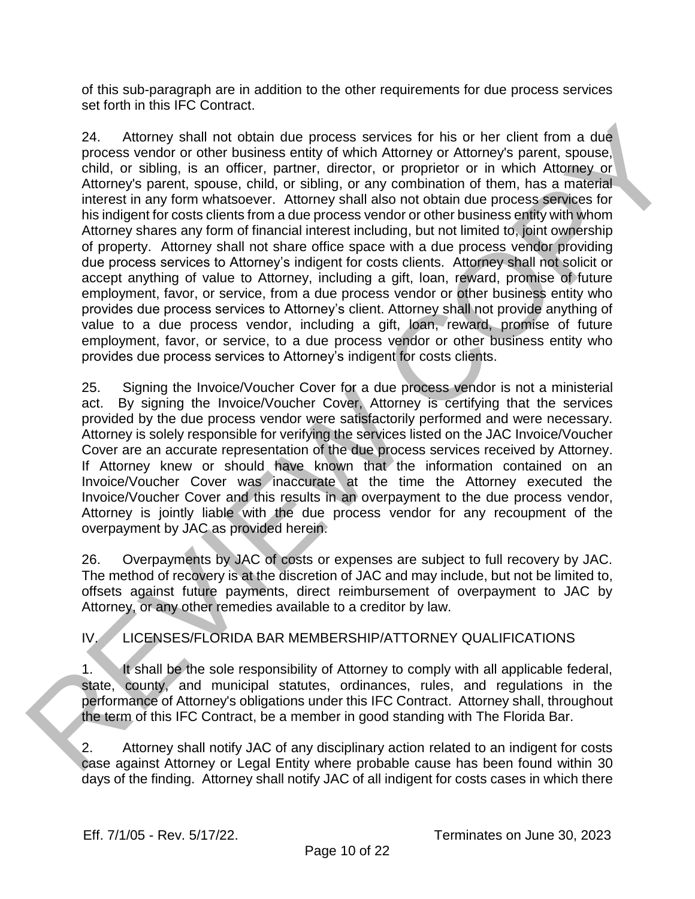of this sub-paragraph are in addition to the other requirements for due process services set forth in this IFC Contract.

24. Attorney shall not obtain due process services for his or her client from a due process vendor or other business entity of which Attorney or Attorney's parent, spouse, child, or sibling, is an officer, partner, director, or proprietor or in which Attorney or Attorney's parent, spouse, child, or sibling, or any combination of them, has a material interest in any form whatsoever. Attorney shall also not obtain due process services for his indigent for costs clients from a due process vendor or other business entity with whom Attorney shares any form of financial interest including, but not limited to, joint ownership of property. Attorney shall not share office space with a due process vendor providing due process services to Attorney's indigent for costs clients. Attorney shall not solicit or accept anything of value to Attorney, including a gift, loan, reward, promise of future employment, favor, or service, from a due process vendor or other business entity who provides due process services to Attorney's client. Attorney shall not provide anything of value to a due process vendor, including a gift, loan, reward, promise of future employment, favor, or service, to a due process vendor or other business entity who provides due process services to Attorney's indigent for costs clients. 24. Altomay shall not obtain due process services for his or har client from a due process. Ventrar is a proportion of the minimizary shall of the minimizary of the minimizary of the minimizary of the minimizary of the min

25. Signing the Invoice/Voucher Cover for a due process vendor is not a ministerial act. By signing the Invoice/Voucher Cover, Attorney is certifying that the services provided by the due process vendor were satisfactorily performed and were necessary. Attorney is solely responsible for verifying the services listed on the JAC Invoice/Voucher Cover are an accurate representation of the due process services received by Attorney. If Attorney knew or should have known that the information contained on an Invoice/Voucher Cover was inaccurate at the time the Attorney executed the Invoice/Voucher Cover and this results in an overpayment to the due process vendor, Attorney is jointly liable with the due process vendor for any recoupment of the overpayment by JAC as provided herein.

26. Overpayments by JAC of costs or expenses are subject to full recovery by JAC. The method of recovery is at the discretion of JAC and may include, but not be limited to, offsets against future payments, direct reimbursement of overpayment to JAC by Attorney, or any other remedies available to a creditor by law.

IV. LICENSES/FLORIDA BAR MEMBERSHIP/ATTORNEY QUALIFICATIONS

1. It shall be the sole responsibility of Attorney to comply with all applicable federal, state, county, and municipal statutes, ordinances, rules, and regulations in the performance of Attorney's obligations under this IFC Contract. Attorney shall, throughout the term of this IFC Contract, be a member in good standing with The Florida Bar.

2. Attorney shall notify JAC of any disciplinary action related to an indigent for costs case against Attorney or Legal Entity where probable cause has been found within 30 days of the finding. Attorney shall notify JAC of all indigent for costs cases in which there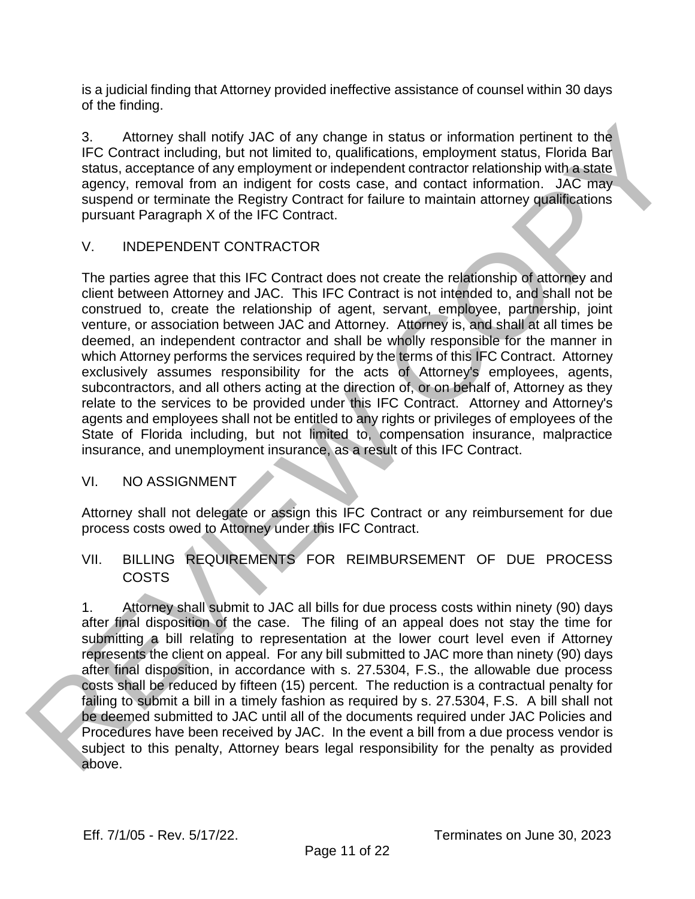is a judicial finding that Attorney provided ineffective assistance of counsel within 30 days of the finding.

3. Attorney shall notify JAC of any change in status or information pertinent to the IFC Contract including, but not limited to, qualifications, employment status, Florida Bar status, acceptance of any employment or independent contractor relationship with a state agency, removal from an indigent for costs case, and contact information. JAC may suspend or terminate the Registry Contract for failure to maintain attorney qualifications pursuant Paragraph X of the IFC Contract.

# V. INDEPENDENT CONTRACTOR

The parties agree that this IFC Contract does not create the relationship of attorney and client between Attorney and JAC. This IFC Contract is not intended to, and shall not be construed to, create the relationship of agent, servant, employee, partnership, joint venture, or association between JAC and Attorney. Attorney is, and shall at all times be deemed, an independent contractor and shall be wholly responsible for the manner in which Attorney performs the services required by the terms of this IFC Contract. Attorney exclusively assumes responsibility for the acts of Attorney's employees, agents, subcontractors, and all others acting at the direction of, or on behalf of, Attorney as they relate to the services to be provided under this IFC Contract. Attorney and Attorney's agents and employees shall not be entitled to any rights or privileges of employees of the State of Florida including, but not limited to, compensation insurance, malpractice insurance, and unemployment insurance, as a result of this IFC Contract. 3.<br>
CC Contract including but of any change in status or information pertinent to the<br>
tractuon-tractuon including but not limited to, qualifications, employment atack, Firedia Bar<br>
step, removal from an indigent for costs

## VI. NO ASSIGNMENT

Attorney shall not delegate or assign this IFC Contract or any reimbursement for due process costs owed to Attorney under this IFC Contract.

# VII. BILLING REQUIREMENTS FOR REIMBURSEMENT OF DUE PROCESS COSTS

1. Attorney shall submit to JAC all bills for due process costs within ninety (90) days after final disposition of the case. The filing of an appeal does not stay the time for submitting a bill relating to representation at the lower court level even if Attorney represents the client on appeal. For any bill submitted to JAC more than ninety (90) days after final disposition, in accordance with s. 27.5304, F.S., the allowable due process costs shall be reduced by fifteen (15) percent. The reduction is a contractual penalty for failing to submit a bill in a timely fashion as required by s. 27.5304, F.S. A bill shall not be deemed submitted to JAC until all of the documents required under JAC Policies and Procedures have been received by JAC. In the event a bill from a due process vendor is subject to this penalty, Attorney bears legal responsibility for the penalty as provided above.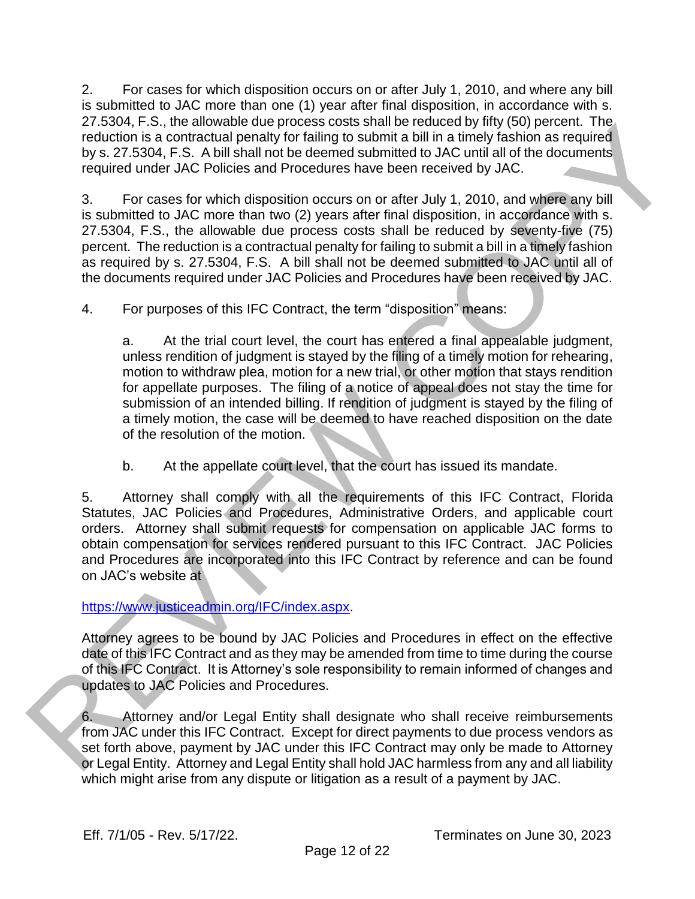2. For cases for which disposition occurs on or after July 1, 2010, and where any bill is submitted to JAC more than one (1) year after final disposition, in accordance with s. 27.5304, F.S., the allowable due process costs shall be reduced by fifty (50) percent. The reduction is a contractual penalty for failing to submit a bill in a timely fashion as required by s. 27.5304, F.S. A bill shall not be deemed submitted to JAC until all of the documents required under JAC Policies and Procedures have been received by JAC.

3. For cases for which disposition occurs on or after July 1, 2010, and where any bill is submitted to JAC more than two (2) years after final disposition, in accordance with s. 27.5304, F.S., the allowable due process costs shall be reduced by seventy-five (75) percent. The reduction is a contractual penalty for failing to submit a bill in a timely fashion as required by s. 27.5304, F.S. A bill shall not be deemed submitted to JAC until all of the documents required under JAC Policies and Procedures have been received by JAC.

4. For purposes of this IFC Contract, the term "disposition" means:

a. At the trial court level, the court has entered a final appealable judgment, unless rendition of judgment is stayed by the filing of a timely motion for rehearing, motion to withdraw plea, motion for a new trial, or other motion that stays rendition for appellate purposes. The filing of a notice of appeal does not stay the time for submission of an intended billing. If rendition of judgment is stayed by the filing of a timely motion, the case will be deemed to have reached disposition on the date of the resolution of the motion. 27.3304, F.S., the allowable allop poess some and preduces opyrinty (supplement in the dialed to the security set of the security set and the dialed to the security set and the dialed to the security of the security of the

b. At the appellate court level, that the court has issued its mandate.

5. Attorney shall comply with all the requirements of this IFC Contract, Florida Statutes, JAC Policies and Procedures, Administrative Orders, and applicable court orders. Attorney shall submit requests for compensation on applicable JAC forms to obtain compensation for services rendered pursuant to this IFC Contract. JAC Policies and Procedures are incorporated into this IFC Contract by reference and can be found on JAC's website at

## https://www.justiceadmin.org/IFC/index.aspx.

Attorney agrees to be bound by JAC Policies and Procedures in effect on the effective date of this IFC Contract and as they may be amended from time to time during the course of this IFC Contract. It is Attorney's sole responsibility to remain informed of changes and updates to JAC Policies and Procedures.

6. Attorney and/or Legal Entity shall designate who shall receive reimbursements from JAC under this IFC Contract. Except for direct payments to due process vendors as set forth above, payment by JAC under this IFC Contract may only be made to Attorney or Legal Entity. Attorney and Legal Entity shall hold JAC harmless from any and all liability which might arise from any dispute or litigation as a result of a payment by JAC.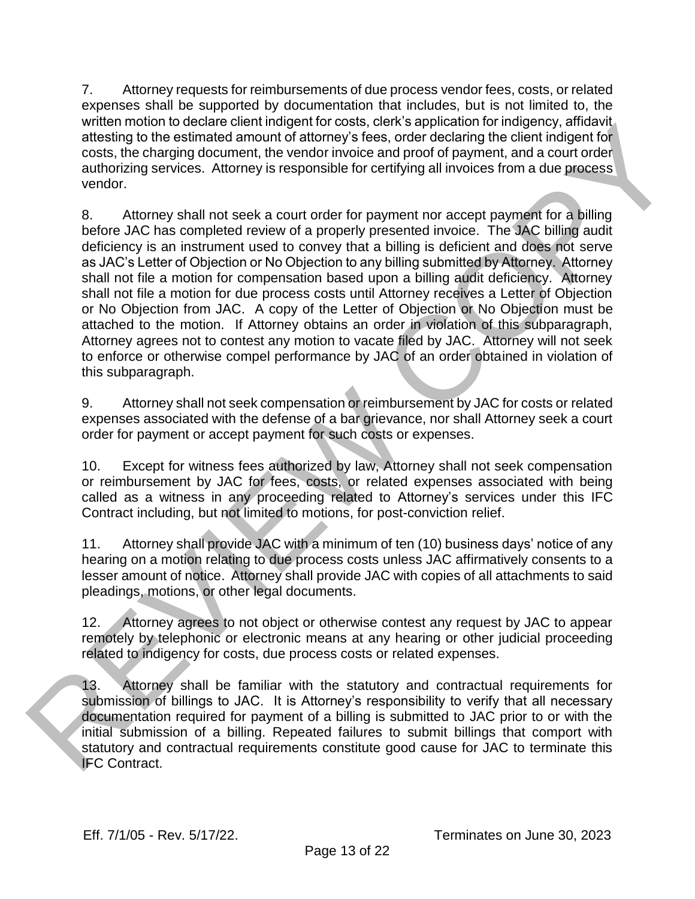7. Attorney requests for reimbursements of due process vendor fees, costs, or related expenses shall be supported by documentation that includes, but is not limited to, the written motion to declare client indigent for costs, clerk's application for indigency, affidavit attesting to the estimated amount of attorney's fees, order declaring the client indigent for costs, the charging document, the vendor invoice and proof of payment, and a court order authorizing services. Attorney is responsible for certifying all invoices from a due process vendor.

8. Attorney shall not seek a court order for payment nor accept payment for a billing before JAC has completed review of a properly presented invoice. The JAC billing audit deficiency is an instrument used to convey that a billing is deficient and does not serve as JAC's Letter of Objection or No Objection to any billing submitted by Attorney. Attorney shall not file a motion for compensation based upon a billing audit deficiency. Attorney shall not file a motion for due process costs until Attorney receives a Letter of Objection or No Objection from JAC. A copy of the Letter of Objection or No Objection must be attached to the motion. If Attorney obtains an order in violation of this subparagraph, Attorney agrees not to contest any motion to vacate filed by JAC. Attorney will not seek to enforce or otherwise compel performance by JAC of an order obtained in violation of this subparagraph. white monoton to escare cientring perfit of costs. cieres application for independent and a cost in the charge of calibratic states in the diagonal distance in the associate the states in the associate of the states in the

9. Attorney shall not seek compensation or reimbursement by JAC for costs or related expenses associated with the defense of a bar grievance, nor shall Attorney seek a court order for payment or accept payment for such costs or expenses.

10. Except for witness fees authorized by law, Attorney shall not seek compensation or reimbursement by JAC for fees, costs, or related expenses associated with being called as a witness in any proceeding related to Attorney's services under this IFC Contract including, but not limited to motions, for post-conviction relief.

11. Attorney shall provide JAC with a minimum of ten (10) business days' notice of any hearing on a motion relating to due process costs unless JAC affirmatively consents to a lesser amount of notice. Attorney shall provide JAC with copies of all attachments to said pleadings, motions, or other legal documents.

12. Attorney agrees to not object or otherwise contest any request by JAC to appear remotely by telephonic or electronic means at any hearing or other judicial proceeding related to indigency for costs, due process costs or related expenses.

13. Attorney shall be familiar with the statutory and contractual requirements for submission of billings to JAC. It is Attorney's responsibility to verify that all necessary documentation required for payment of a billing is submitted to JAC prior to or with the initial submission of a billing. Repeated failures to submit billings that comport with statutory and contractual requirements constitute good cause for JAC to terminate this IFC Contract.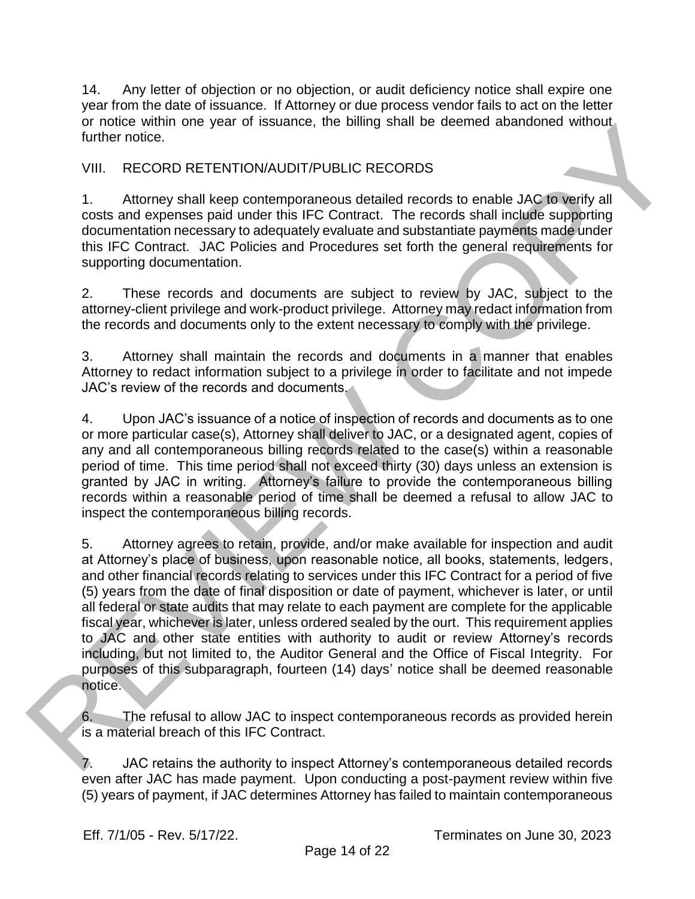14. Any letter of objection or no objection, or audit deficiency notice shall expire one year from the date of issuance. If Attorney or due process vendor fails to act on the letter or notice within one year of issuance, the billing shall be deemed abandoned without further notice.

## VIII. RECORD RETENTION/AUDIT/PUBLIC RECORDS

1. Attorney shall keep contemporaneous detailed records to enable JAC to verify all costs and expenses paid under this IFC Contract. The records shall include supporting documentation necessary to adequately evaluate and substantiate payments made under this IFC Contract. JAC Policies and Procedures set forth the general requirements for supporting documentation.

2. These records and documents are subject to review by JAC, subject to the attorney-client privilege and work-product privilege. Attorney may redact information from the records and documents only to the extent necessary to comply with the privilege.

3. Attorney shall maintain the records and documents in a manner that enables Attorney to redact information subject to a privilege in order to facilitate and not impede JAC's review of the records and documents.

4. Upon JAC's issuance of a notice of inspection of records and documents as to one or more particular case(s), Attorney shall deliver to JAC, or a designated agent, copies of any and all contemporaneous billing records related to the case(s) within a reasonable period of time. This time period shall not exceed thirty (30) days unless an extension is granted by JAC in writing. Attorney's failure to provide the contemporaneous billing records within a reasonable period of time shall be deemed a refusal to allow JAC to inspect the contemporaneous billing records.

5. Attorney agrees to retain, provide, and/or make available for inspection and audit at Attorney's place of business, upon reasonable notice, all books, statements, ledgers, and other financial records relating to services under this IFC Contract for a period of five (5) years from the date of final disposition or date of payment, whichever is later, or until all federal or state audits that may relate to each payment are complete for the applicable fiscal year, whichever is later, unless ordered sealed by the ourt. This requirement applies to JAC and other state entities with authority to audit or review Attorney's records including, but not limited to, the Auditor General and the Office of Fiscal Integrity. For purposes of this subparagraph, fourteen (14) days' notice shall be deemed reasonable notice. or notes winnin one year or issuance, the bulling shall be deemed abandoned without<br>
YIIII. RECORD RETENTION/AUDIT/PUBLIC RECORDS<br>
1. Altomay shall head condition the condition of the solid manipular scheme of the solid AC

6. The refusal to allow JAC to inspect contemporaneous records as provided herein is a material breach of this IFC Contract.

JAC retains the authority to inspect Attorney's contemporaneous detailed records even after JAC has made payment. Upon conducting a post-payment review within five (5) years of payment, if JAC determines Attorney has failed to maintain contemporaneous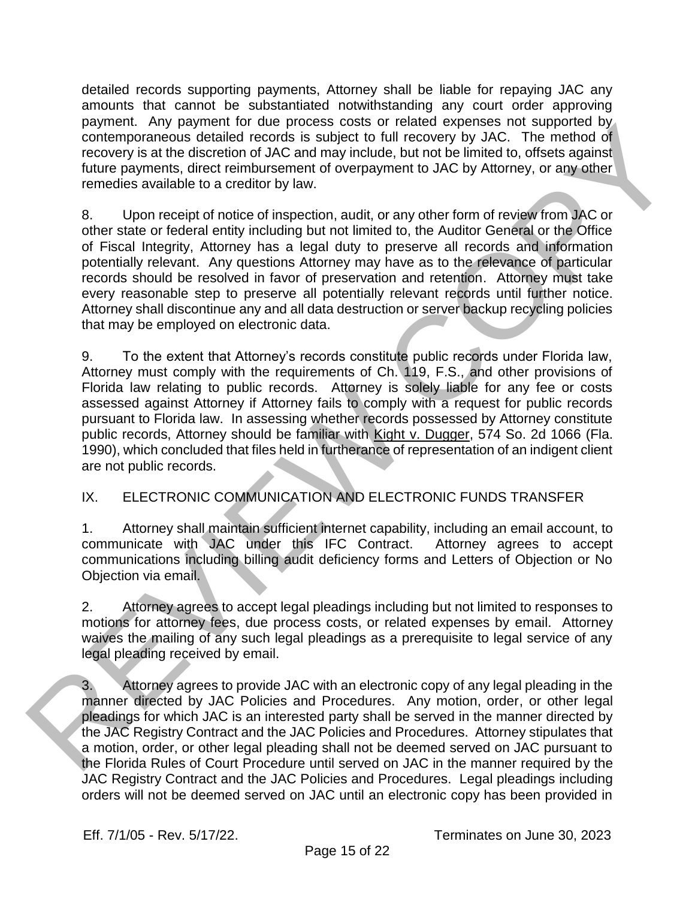detailed records supporting payments, Attorney shall be liable for repaying JAC any amounts that cannot be substantiated notwithstanding any court order approving payment. Any payment for due process costs or related expenses not supported by contemporaneous detailed records is subject to full recovery by JAC. The method of recovery is at the discretion of JAC and may include, but not be limited to, offsets against future payments, direct reimbursement of overpayment to JAC by Attorney, or any other remedies available to a creditor by law.

8. Upon receipt of notice of inspection, audit, or any other form of review from JAC or other state or federal entity including but not limited to, the Auditor General or the Office of Fiscal Integrity, Attorney has a legal duty to preserve all records and information potentially relevant. Any questions Attorney may have as to the relevance of particular records should be resolved in favor of preservation and retention. Attorney must take every reasonable step to preserve all potentially relevant records until further notice. Attorney shall discontinue any and all data destruction or server backup recycling policies that may be employed on electronic data.

9. To the extent that Attorney's records constitute public records under Florida law, Attorney must comply with the requirements of Ch. 119, F.S., and other provisions of Florida law relating to public records. Attorney is solely liable for any fee or costs assessed against Attorney if Attorney fails to comply with a request for public records pursuant to Florida law. In assessing whether records possessed by Attorney constitute public records, Attorney should be familiar with Kight v. Dugger, 574 So. 2d 1066 (Fla. 1990), which concluded that files held in furtherance of representation of an indigent client are not public records. payment way the method of the corones costs or feate expenses not supported by the method of the discussion of the method of the method of the method of the method of the method of the method of the method of the method of

## IX. ELECTRONIC COMMUNICATION AND ELECTRONIC FUNDS TRANSFER

1. Attorney shall maintain sufficient internet capability, including an email account, to communicate with JAC under this IFC Contract. Attorney agrees to accept communications including billing audit deficiency forms and Letters of Objection or No Objection via email.

2. Attorney agrees to accept legal pleadings including but not limited to responses to motions for attorney fees, due process costs, or related expenses by email. Attorney waives the mailing of any such legal pleadings as a prerequisite to legal service of any legal pleading received by email.

3. Attorney agrees to provide JAC with an electronic copy of any legal pleading in the manner directed by JAC Policies and Procedures. Any motion, order, or other legal pleadings for which JAC is an interested party shall be served in the manner directed by the JAC Registry Contract and the JAC Policies and Procedures. Attorney stipulates that a motion, order, or other legal pleading shall not be deemed served on JAC pursuant to the Florida Rules of Court Procedure until served on JAC in the manner required by the JAC Registry Contract and the JAC Policies and Procedures. Legal pleadings including orders will not be deemed served on JAC until an electronic copy has been provided in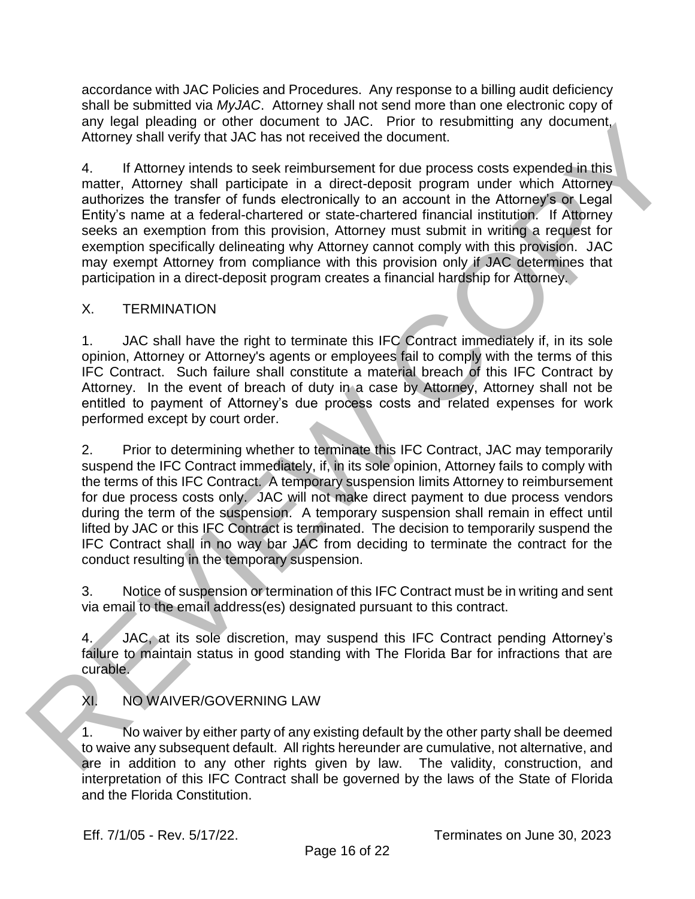accordance with JAC Policies and Procedures. Any response to a billing audit deficiency shall be submitted via *MyJAC*. Attorney shall not send more than one electronic copy of any legal pleading or other document to JAC. Prior to resubmitting any document, Attorney shall verify that JAC has not received the document.

4. If Attorney intends to seek reimbursement for due process costs expended in this matter, Attorney shall participate in a direct-deposit program under which Attorney authorizes the transfer of funds electronically to an account in the Attorney's or Legal Entity's name at a federal-chartered or state-chartered financial institution. If Attorney seeks an exemption from this provision, Attorney must submit in writing a request for exemption specifically delineating why Attorney cannot comply with this provision. JAC may exempt Attorney from compliance with this provision only if JAC determines that participation in a direct-deposit program creates a financial hardship for Attorney.

## X. TERMINATION

1. JAC shall have the right to terminate this IFC Contract immediately if, in its sole opinion, Attorney or Attorney's agents or employees fail to comply with the terms of this IFC Contract. Such failure shall constitute a material breach of this IFC Contract by Attorney. In the event of breach of duty in a case by Attorney, Attorney shall not be entitled to payment of Attorney's due process costs and related expenses for work performed except by court order.

2. Prior to determining whether to terminate this IFC Contract, JAC may temporarily suspend the IFC Contract immediately, if, in its sole opinion, Attorney fails to comply with the terms of this IFC Contract. A temporary suspension limits Attorney to reimbursement for due process costs only. JAC will not make direct payment to due process vendors during the term of the suspension. A temporary suspension shall remain in effect until lifted by JAC or this IFC Contract is terminated. The decision to temporarily suspend the IFC Contract shall in no way bar JAC from deciding to terminate the contract for the conduct resulting in the temporary suspension. any legal piesannino or the noctionent to with. Princh to the subsect and the subsect and the subsect and the subsect and the subsect and the subsect and the model of the process costs expended in the subsect and Entity is

3. Notice of suspension or termination of this IFC Contract must be in writing and sent via email to the email address(es) designated pursuant to this contract.

4. JAC, at its sole discretion, may suspend this IFC Contract pending Attorney's failure to maintain status in good standing with The Florida Bar for infractions that are curable.

XI. NO WAIVER/GOVERNING LAW

1. No waiver by either party of any existing default by the other party shall be deemed to waive any subsequent default. All rights hereunder are cumulative, not alternative, and are in addition to any other rights given by law. The validity, construction, and interpretation of this IFC Contract shall be governed by the laws of the State of Florida and the Florida Constitution.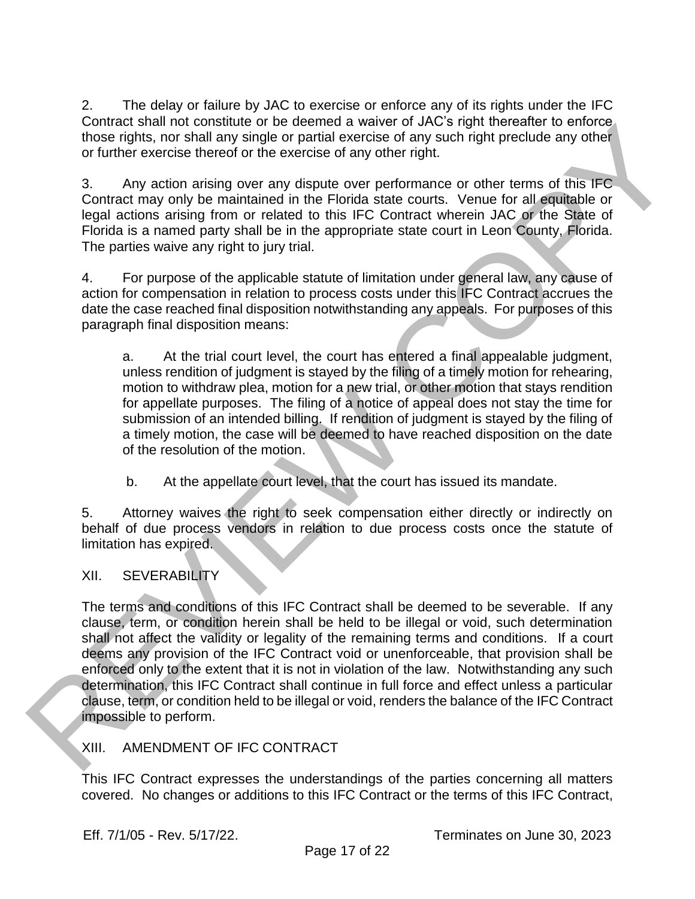2. The delay or failure by JAC to exercise or enforce any of its rights under the IFC Contract shall not constitute or be deemed a waiver of JAC's right thereafter to enforce those rights, nor shall any single or partial exercise of any such right preclude any other or further exercise thereof or the exercise of any other right.

3. Any action arising over any dispute over performance or other terms of this IFC Contract may only be maintained in the Florida state courts. Venue for all equitable or legal actions arising from or related to this IFC Contract wherein JAC or the State of Florida is a named party shall be in the appropriate state court in Leon County, Florida. The parties waive any right to jury trial.

4. For purpose of the applicable statute of limitation under general law, any cause of action for compensation in relation to process costs under this IFC Contract accrues the date the case reached final disposition notwithstanding any appeals. For purposes of this paragraph final disposition means:

a. At the trial court level, the court has entered a final appealable judgment, unless rendition of judgment is stayed by the filing of a timely motion for rehearing, motion to withdraw plea, motion for a new trial, or other motion that stays rendition for appellate purposes. The filing of a notice of appeal does not stay the time for submission of an intended billing. If rendition of judgment is stayed by the filing of a timely motion, the case will be deemed to have reached disposition on the date of the resolution of the motion.

b. At the appellate court level, that the court has issued its mandate.

5. Attorney waives the right to seek compensation either directly or indirectly on behalf of due process vendors in relation to due process costs once the statute of limitation has expired.

# XII. SEVERABILITY

The terms and conditions of this IFC Contract shall be deemed to be severable. If any clause, term, or condition herein shall be held to be illegal or void, such determination shall not affect the validity or legality of the remaining terms and conditions. If a court deems any provision of the IFC Contract void or unenforceable, that provision shall be enforced only to the extent that it is not in violation of the law. Notwithstanding any such determination, this IFC Contract shall continue in full force and effect unless a particular clause, term, or condition held to be illegal or void, renders the balance of the IFC Contract impossible to perform. Contract shall not constitute of the ossession of order of outline the main of constitution and the contract of the state of the state of the state of the state of the state of the state of the state of the state of the st

# XIII. AMENDMENT OF IFC CONTRACT

This IFC Contract expresses the understandings of the parties concerning all matters covered. No changes or additions to this IFC Contract or the terms of this IFC Contract,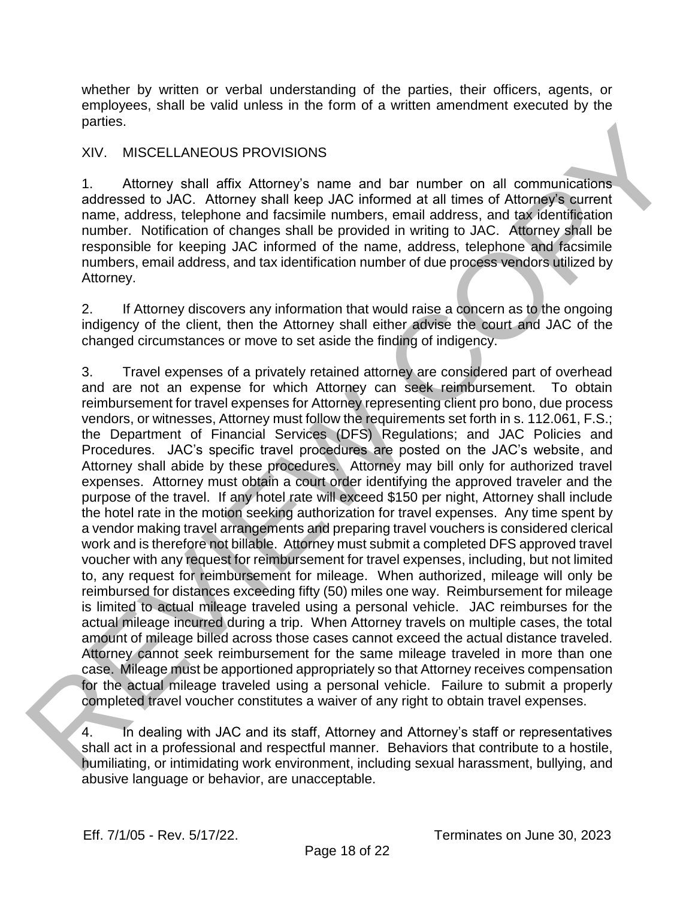whether by written or verbal understanding of the parties, their officers, agents, or employees, shall be valid unless in the form of a written amendment executed by the parties.

#### XIV. MISCELLANEOUS PROVISIONS

1. Attorney shall affix Attorney's name and bar number on all communications addressed to JAC. Attorney shall keep JAC informed at all times of Attorney's current name, address, telephone and facsimile numbers, email address, and tax identification number. Notification of changes shall be provided in writing to JAC. Attorney shall be responsible for keeping JAC informed of the name, address, telephone and facsimile numbers, email address, and tax identification number of due process vendors utilized by Attorney.

2. If Attorney discovers any information that would raise a concern as to the ongoing indigency of the client, then the Attorney shall either advise the court and JAC of the changed circumstances or move to set aside the finding of indigency.

3. Travel expenses of a privately retained attorney are considered part of overhead and are not an expense for which Attorney can seek reimbursement. To obtain reimbursement for travel expenses for Attorney representing client pro bono, due process vendors, or witnesses, Attorney must follow the requirements set forth in s. 112.061, F.S.; the Department of Financial Services (DFS) Regulations; and JAC Policies and Procedures. JAC's specific travel procedures are posted on the JAC's website, and Attorney shall abide by these procedures. Attorney may bill only for authorized travel expenses. Attorney must obtain a court order identifying the approved traveler and the purpose of the travel. If any hotel rate will exceed \$150 per night, Attorney shall include the hotel rate in the motion seeking authorization for travel expenses. Any time spent by a vendor making travel arrangements and preparing travel vouchers is considered clerical work and is therefore not billable. Attorney must submit a completed DFS approved travel voucher with any request for reimbursement for travel expenses, including, but not limited to, any request for reimbursement for mileage. When authorized, mileage will only be reimbursed for distances exceeding fifty (50) miles one way. Reimbursement for mileage is limited to actual mileage traveled using a personal vehicle. JAC reimburses for the actual mileage incurred during a trip. When Attorney travels on multiple cases, the total amount of mileage billed across those cases cannot exceed the actual distance traveled. Attorney cannot seek reimbursement for the same mileage traveled in more than one case. Mileage must be apportioned appropriately so that Attorney receives compensation for the actual mileage traveled using a personal vehicle. Failure to submit a properly completed travel voucher constitutes a waiver of any right to obtain travel expenses. parties,<br>
XIV. MISCELLANEOUS PROVISIONS<br>
1. Mtomey shall affix. Attorney's name and bar number on all communications<br>
addressed to JAC. Attorney's mame and bar number on all communications<br>
addressed to JAC. Attorney's mam

4. In dealing with JAC and its staff, Attorney and Attorney's staff or representatives shall act in a professional and respectful manner. Behaviors that contribute to a hostile, humiliating, or intimidating work environment, including sexual harassment, bullying, and abusive language or behavior, are unacceptable.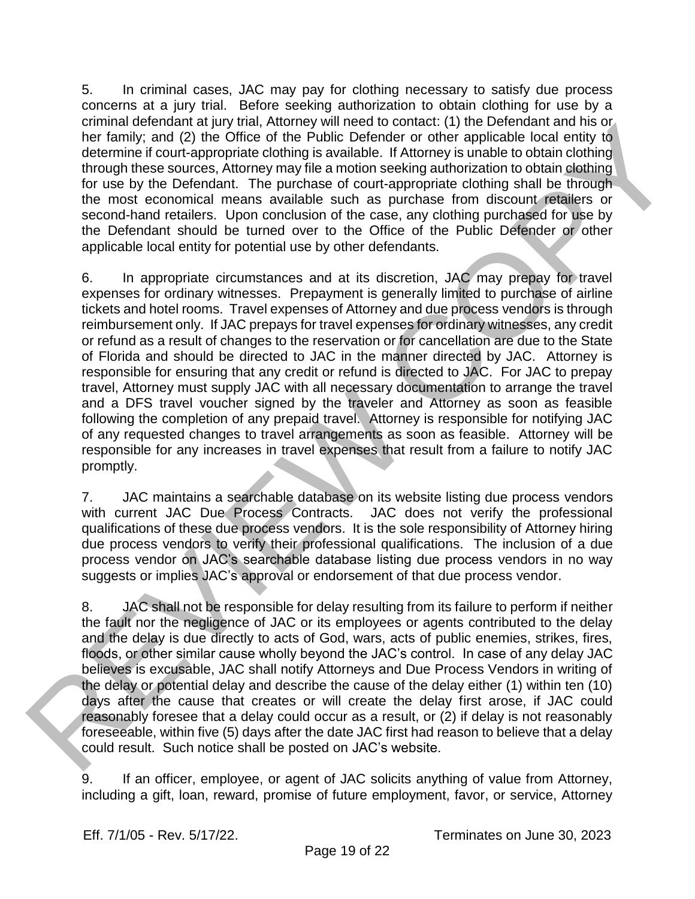5. In criminal cases, JAC may pay for clothing necessary to satisfy due process concerns at a jury trial. Before seeking authorization to obtain clothing for use by a criminal defendant at jury trial, Attorney will need to contact: (1) the Defendant and his or her family; and (2) the Office of the Public Defender or other applicable local entity to determine if court-appropriate clothing is available. If Attorney is unable to obtain clothing through these sources, Attorney may file a motion seeking authorization to obtain clothing for use by the Defendant. The purchase of court-appropriate clothing shall be through the most economical means available such as purchase from discount retailers or second-hand retailers. Upon conclusion of the case, any clothing purchased for use by the Defendant should be turned over to the Office of the Public Defender or other applicable local entity for potential use by other defendants.

6. In appropriate circumstances and at its discretion, JAC may prepay for travel expenses for ordinary witnesses. Prepayment is generally limited to purchase of airline tickets and hotel rooms. Travel expenses of Attorney and due process vendors is through reimbursement only. If JAC prepays for travel expenses for ordinary witnesses, any credit or refund as a result of changes to the reservation or for cancellation are due to the State of Florida and should be directed to JAC in the manner directed by JAC. Attorney is responsible for ensuring that any credit or refund is directed to JAC. For JAC to prepay travel, Attorney must supply JAC with all necessary documentation to arrange the travel and a DFS travel voucher signed by the traveler and Attorney as soon as feasible following the completion of any prepaid travel. Attorney is responsible for notifying JAC of any requested changes to travel arrangements as soon as feasible. Attorney will be responsible for any increases in travel expenses that result from a failure to notify JAC promptly. emininal one tendant at jury mai, Amenney will need to contact: (i) the Defendant and his original contact of the state of the state of the state of the state of the state of the state of the state of the state of the stat

7. JAC maintains a searchable database on its website listing due process vendors with current JAC Due Process Contracts. JAC does not verify the professional qualifications of these due process vendors. It is the sole responsibility of Attorney hiring due process vendors to verify their professional qualifications. The inclusion of a due process vendor on JAC's searchable database listing due process vendors in no way suggests or implies JAC's approval or endorsement of that due process vendor.

8. JAC shall not be responsible for delay resulting from its failure to perform if neither the fault nor the negligence of JAC or its employees or agents contributed to the delay and the delay is due directly to acts of God, wars, acts of public enemies, strikes, fires, floods, or other similar cause wholly beyond the JAC's control. In case of any delay JAC believes is excusable, JAC shall notify Attorneys and Due Process Vendors in writing of the delay or potential delay and describe the cause of the delay either (1) within ten (10) days after the cause that creates or will create the delay first arose, if JAC could reasonably foresee that a delay could occur as a result, or (2) if delay is not reasonably foreseeable, within five (5) days after the date JAC first had reason to believe that a delay could result. Such notice shall be posted on JAC's website.

9. If an officer, employee, or agent of JAC solicits anything of value from Attorney, including a gift, loan, reward, promise of future employment, favor, or service, Attorney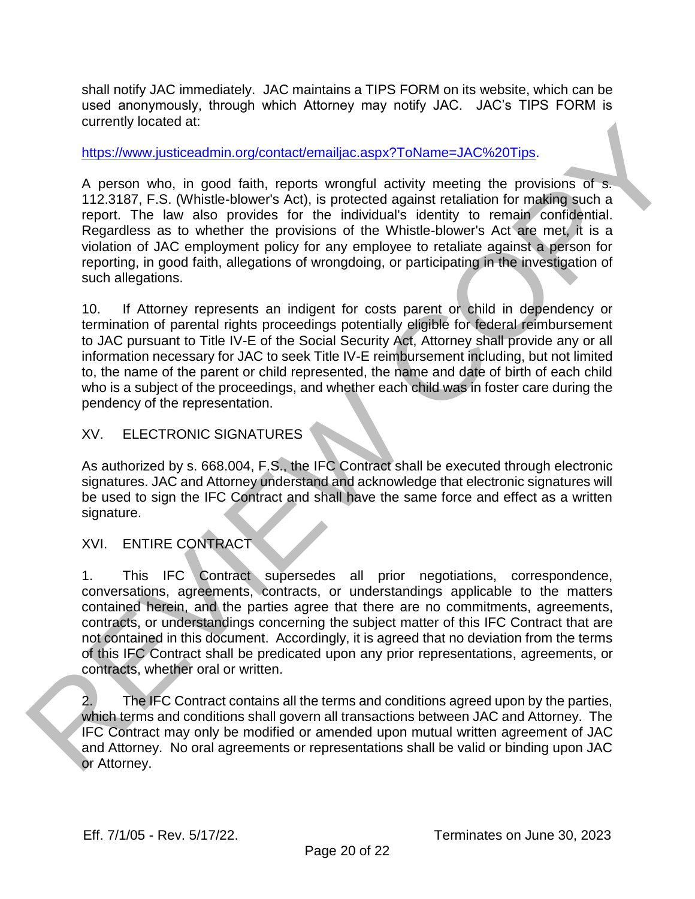shall notify JAC immediately. JAC maintains a TIPS FORM on its website, which can be used anonymously, through which Attorney may notify JAC. JAC's TIPS FORM is currently located at:

https://www.justiceadmin.org/contact/emailjac.aspx?ToName=JAC%20Tips.

A person who, in good faith, reports wrongful activity meeting the provisions of s. 112.3187, F.S. (Whistle-blower's Act), is protected against retaliation for making such a report. The law also provides for the individual's identity to remain confidential. Regardless as to whether the provisions of the Whistle-blower's Act are met, it is a violation of JAC employment policy for any employee to retaliate against a person for reporting, in good faith, allegations of wrongdoing, or participating in the investigation of such allegations. currently bosted at:<br>
https://www.lusibecadmin.org/contact/emailiac.aspx?ToName=JAC%20Tips<br>
https://www.lusibecadmin.org/contact/emailiac.aspx?ToName=JAC%20Tips<br>
A person who, in good failth, reports wrongful activity meet

10. If Attorney represents an indigent for costs parent or child in dependency or termination of parental rights proceedings potentially eligible for federal reimbursement to JAC pursuant to Title IV-E of the Social Security Act, Attorney shall provide any or all information necessary for JAC to seek Title IV-E reimbursement including, but not limited to, the name of the parent or child represented, the name and date of birth of each child who is a subject of the proceedings, and whether each child was in foster care during the pendency of the representation.

## XV. ELECTRONIC SIGNATURES

As authorized by s. 668.004, F.S., the IFC Contract shall be executed through electronic signatures. JAC and Attorney understand and acknowledge that electronic signatures will be used to sign the IFC Contract and shall have the same force and effect as a written signature.

# XVI. ENTIRE CONTRACT

1. This IFC Contract supersedes all prior negotiations, correspondence, conversations, agreements, contracts, or understandings applicable to the matters contained herein, and the parties agree that there are no commitments, agreements, contracts, or understandings concerning the subject matter of this IFC Contract that are not contained in this document. Accordingly, it is agreed that no deviation from the terms of this IFC Contract shall be predicated upon any prior representations, agreements, or contracts, whether oral or written.

2. The IFC Contract contains all the terms and conditions agreed upon by the parties, which terms and conditions shall govern all transactions between JAC and Attorney. The IFC Contract may only be modified or amended upon mutual written agreement of JAC and Attorney. No oral agreements or representations shall be valid or binding upon JAC or Attorney.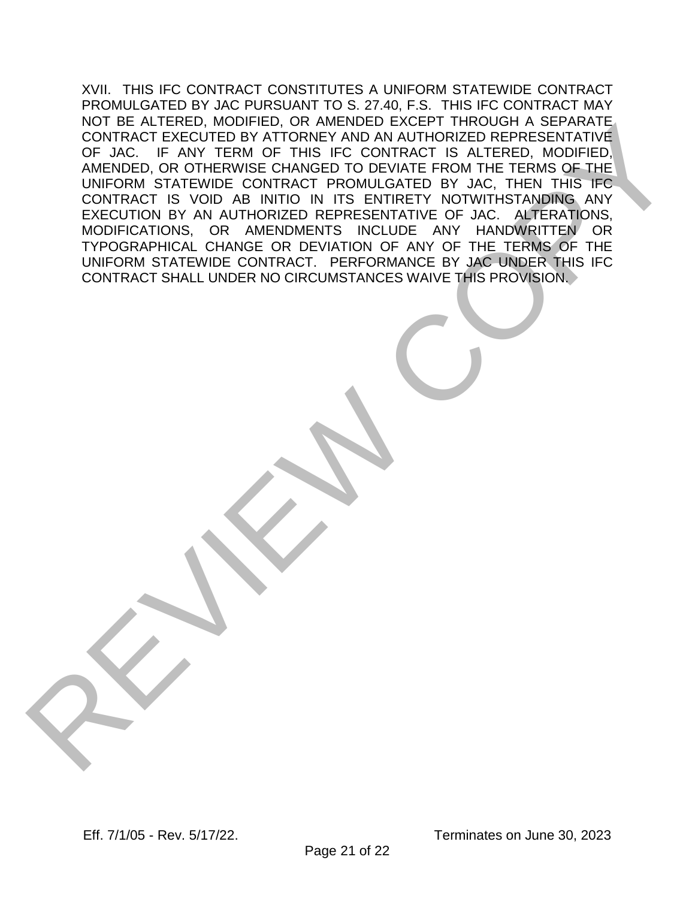XVII. THIS IFC CONTRACT CONSTITUTES A UNIFORM STATEWIDE CONTRACT PROMULGATED BY JAC PURSUANT TO S. 27.40, F.S. THIS IFC CONTRACT MAY NOT BE ALTERED, MODIFIED, OR AMENDED EXCEPT THROUGH A SEPARATE CONTRACT EXECUTED BY ATTORNEY AND AN AUTHORIZED REPRESENTATIVE OF JAC. IF ANY TERM OF THIS IFC CONTRACT IS ALTERED, MODIFIED, AMENDED, OR OTHERWISE CHANGED TO DEVIATE FROM THE TERMS OF THE UNIFORM STATEWIDE CONTRACT PROMULGATED BY JAC, THEN THIS IFC CONTRACT IS VOID AB INITIO IN ITS ENTIRETY NOTWITHSTANDING ANY EXECUTION BY AN AUTHORIZED REPRESENTATIVE OF JAC. ALTERATIONS, MODIFICATIONS, OR AMENDMENTS INCLUDE ANY HANDWRITTEN OR TYPOGRAPHICAL CHANGE OR DEVIATION OF ANY OF THE TERMS OF THE UNIFORM STATEWIDE CONTRACT. PERFORMANCE BY JAC UNDER THIS IFC CONTRACT SHALL UNDER NO CIRCUMSTANCES WAIVE THIS PROVISION. NOT BE ALL ENEU MOUPLEUR ON WARRISPLE CORPUSATION SERVICES AND AN ANDEN OF THE TERMS OF THE TRING OF THE TERMS OF THE TERMS OF THE TERMS OF THE TERMS OF THE TERMS OF THE TERMS OF THE TERMS OF THE TERMS OF THE TERMS OF THE